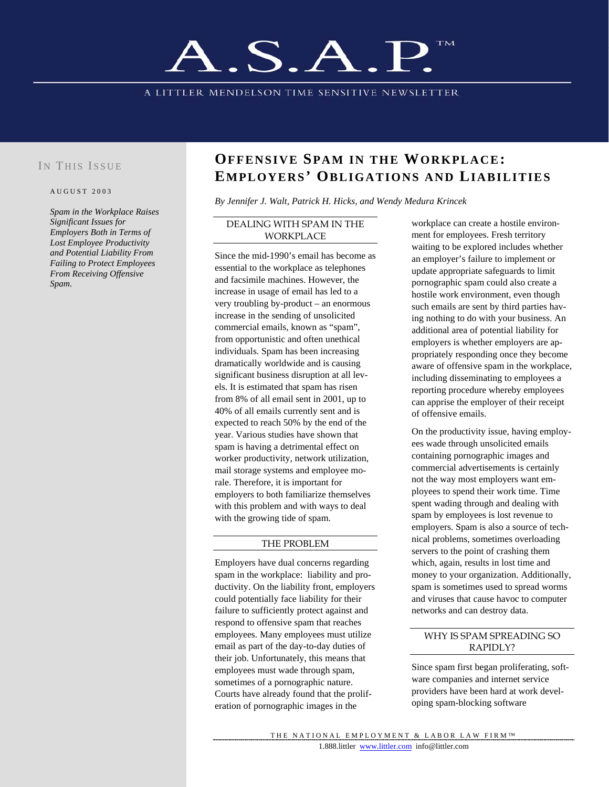# **A.S . A .P . ™ TM**

A LITTLER MENDELSON TIME SENSITIVE NEWSLETTER

#### IN THIS ISSUE

A U G U ST 2003

*Spam in the Workplace Raises Significant Issues for Employers Both in Terms of Lost Employee Productivity and Potential Liability From Failing to Protect Employees From Receiving Offensive Spam.*

## **OFFENSIVE SPAM IN THE WORKPLACE: EMPLOYERS' OBLIGATIONS AND LIABILITIES**

*By Jennifer J. Walt, Patrick H. Hicks, and Wendy Medura Krincek*

#### DEALING WITH SPAM IN THE WORKPLACE

Since the mid-1990's email has become as essential to the workplace as telephones and facsimile machines. However, the increase in usage of email has led to a very troubling by-product – an enormous increase in the sending of unsolicited commercial emails, known as "spam", from opportunistic and often unethical individuals. Spam has been increasing dramatically worldwide and is causing significant business disruption at all levels. It is estimated that spam has risen from 8% of all email sent in 2001, up to 40% of all emails currently sent and is expected to reach 50% by the end of the year. Various studies have shown that spam is having a detrimental effect on worker productivity, network utilization, mail storage systems and employee morale. Therefore, it is important for employers to both familiarize themselves with this problem and with ways to deal with the growing tide of spam.

#### THE PROBLEM

Employers have dual concerns regarding spam in the workplace: liability and productivity. On the liability front, employers could potentially face liability for their failure to sufficiently protect against and respond to offensive spam that reaches employees. Many employees must utilize email as part of the day-to-day duties of their job. Unfortunately, this means that employees must wade through spam, sometimes of a pornographic nature. Courts have already found that the proliferation of pornographic images in the

workplace can create a hostile environment for employees. Fresh territory waiting to be explored includes whether an employer's failure to implement or update appropriate safeguards to limit pornographic spam could also create a hostile work environment, even though such emails are sent by third parties having nothing to do with your business. An additional area of potential liability for employers is whether employers are appropriately responding once they become aware of offensive spam in the workplace, including disseminating to employees a reporting procedure whereby employees can apprise the employer of their receipt of offensive emails.

On the productivity issue, having employees wade through unsolicited emails containing pornographic images and commercial advertisements is certainly not the way most employers want employees to spend their work time. Time spent wading through and dealing with spam by employees is lost revenue to employers. Spam is also a source of technical problems, sometimes overloading servers to the point of crashing them which, again, results in lost time and money to your organization. Additionally, spam is sometimes used to spread worms and viruses that cause havoc to computer networks and can destroy data.

#### WHY IS SPAM SPREADING SO RAPIDLY?

Since spam first began proliferating, software companies and internet service providers have been hard at work developing spam-blocking software

### THE NATIONAL EMPLOYMENT & LABOR LAW FIRM™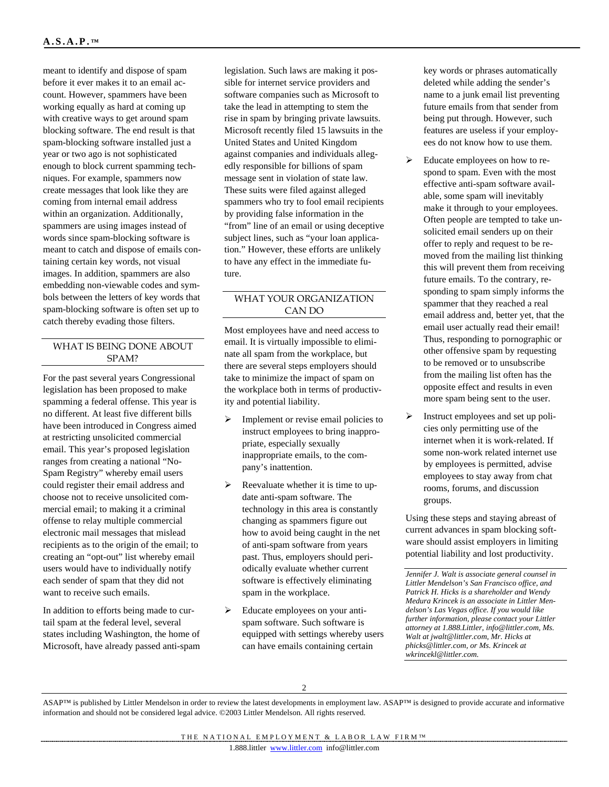meant to identify and dispose of spam before it ever makes it to an email account. However, spammers have been working equally as hard at coming up with creative ways to get around spam blocking software. The end result is that spam-blocking software installed just a year or two ago is not sophisticated enough to block current spamming techniques. For example, spammers now create messages that look like they are coming from internal email address within an organization. Additionally, spammers are using images instead of words since spam-blocking software is meant to catch and dispose of emails containing certain key words, not visual images. In addition, spammers are also embedding non-viewable codes and symbols between the letters of key words that spam-blocking software is often set up to catch thereby evading those filters.

#### WHAT IS BEING DONE ABOUT SPAM?

For the past several years Congressional legislation has been proposed to make spamming a federal offense. This year is no different. At least five different bills have been introduced in Congress aimed at restricting unsolicited commercial email. This year's proposed legislation ranges from creating a national "No-Spam Registry" whereby email users could register their email address and choose not to receive unsolicited commercial email; to making it a criminal offense to relay multiple commercial electronic mail messages that mislead recipients as to the origin of the email; to creating an "opt-out" list whereby email users would have to individually notify each sender of spam that they did not want to receive such emails.

In addition to efforts being made to curtail spam at the federal level, several states including Washington, the home of Microsoft, have already passed anti-spam legislation. Such laws are making it possible for internet service providers and software companies such as Microsoft to take the lead in attempting to stem the rise in spam by bringing private lawsuits. Microsoft recently filed 15 lawsuits in the United States and United Kingdom against companies and individuals allegedly responsible for billions of spam message sent in violation of state law. These suits were filed against alleged spammers who try to fool email recipients by providing false information in the "from" line of an email or using deceptive subject lines, such as "your loan application." However, these efforts are unlikely to have any effect in the immediate future.

#### WHAT YOUR ORGANIZATION CAN DO

Most employees have and need access to email. It is virtually impossible to eliminate all spam from the workplace, but there are several steps employers should take to minimize the impact of spam on the workplace both in terms of productivity and potential liability.

- $\triangleright$  Implement or revise email policies to instruct employees to bring inappropriate, especially sexually inappropriate emails, to the company's inattention.
- $\triangleright$  Reevaluate whether it is time to update anti-spam software. The technology in this area is constantly changing as spammers figure out how to avoid being caught in the net of anti-spam software from years past. Thus, employers should periodically evaluate whether current software is effectively eliminating spam in the workplace.
- $\triangleright$  Educate employees on your antispam software. Such software is equipped with settings whereby users can have emails containing certain

key words or phrases automatically deleted while adding the sender's name to a junk email list preventing future emails from that sender from being put through. However, such features are useless if your employees do not know how to use them.

- ¾ Educate employees on how to respond to spam. Even with the most effective anti-spam software available, some spam will inevitably make it through to your employees. Often people are tempted to take unsolicited email senders up on their offer to reply and request to be removed from the mailing list thinking this will prevent them from receiving future emails. To the contrary, responding to spam simply informs the spammer that they reached a real email address and, better yet, that the email user actually read their email! Thus, responding to pornographic or other offensive spam by requesting to be removed or to unsubscribe from the mailing list often has the opposite effect and results in even more spam being sent to the user.
- $\triangleright$  Instruct employees and set up policies only permitting use of the internet when it is work-related. If some non-work related internet use by employees is permitted, advise employees to stay away from chat rooms, forums, and discussion groups.

Using these steps and staying abreast of current advances in spam blocking software should assist employers in limiting potential liability and lost productivity.

2

*Jennifer J. Walt is associate general counsel in Littler Mendelson's San Francisco office, and Patrick H. Hicks is a shareholder and Wendy Medura Krincek is an associate in Littler Mendelson's Las Vegas office. If you would like further information, please contact your Littler attorney at 1.888.Littler, [info@littler.com,](mailto:infor@littler.com) Ms. Walt at [jwalt@littler.com,](mailto:jwalt@littler.com) Mr. Hicks at phicks@littler.com, or Ms. Krincek at [wkrincekl@littler.com.](mailto:wkrincekl@littler.com)* 

ASAP<sup>™</sup> is published by Littler Mendelson in order to review the latest developments in employment law. ASAP™ is designed to provide accurate and informative information and should not be considered legal advice. ©2003 Littler Mendelson. All rights reserved.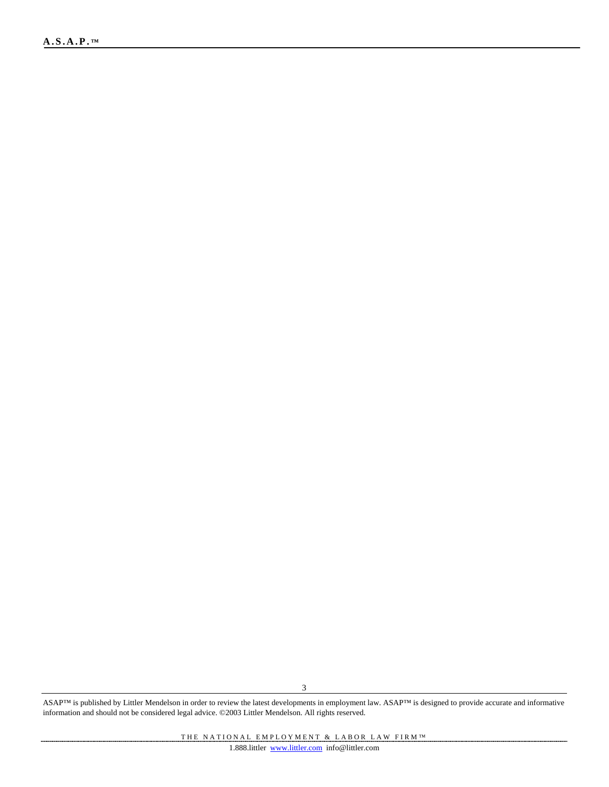ASAP™ is published by Littler Mendelson in order to review the latest developments in employment law. ASAP™ is designed to provide accurate and informative information and should not be considered legal advice. ©2003 Littler Mendelson. All rights reserved.

3